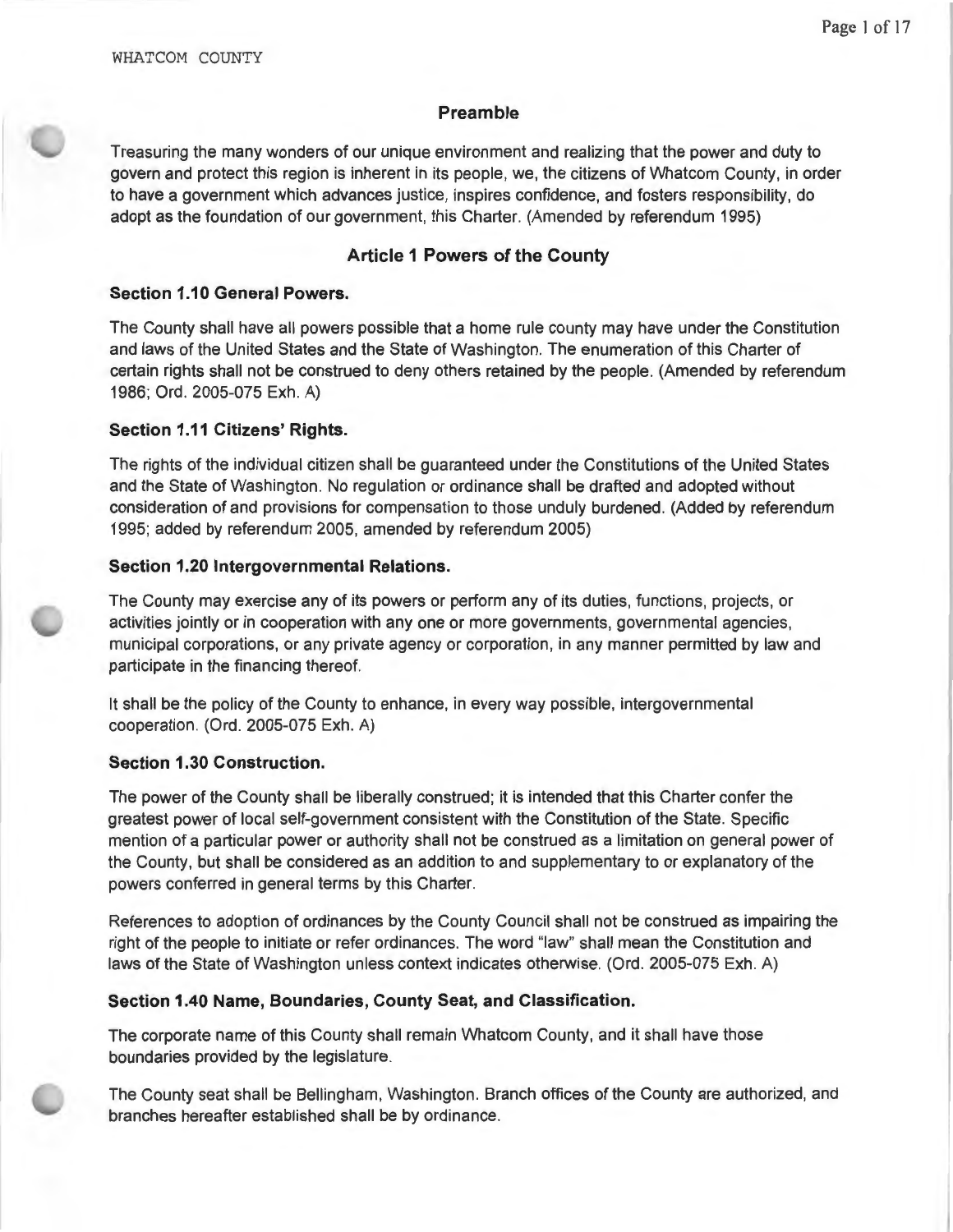## **Preamble**

Treasuring the many wonders of our unique environment and realizing that the power and duty to govern and protect this region is inherent in its people, we, the citizens of Whatcom County, in order to have a government which advances justice, inspires confidence, and fosters responsibility, do adopt as the foundation of our government, this Charter. (Amended by referendum 1995)

# **Article 1 Powers of the County**

## **Section 1.10 General Powers.**

The County shall have all powers possible that a home rule county may have under the Constitution and laws of the United States and the State of Washington. The enumeration of this Charter of certain rights shall not be construed to deny others retained by the people. (Amended by referendum 1986; Ord. 2005-075 Exh. A)

# **Section 1.11 Citizens' Rights.**

The rights of the individual citizen shall be guaranteed under the Constitutions of the United States and the State of Washington. No regulation or ordinance shall be drafted and adopted without consideration of and provisions for compensation to those unduly burdened. (Added by referendum 1995; added by referendum 2005, amended by referendum 2005)

## **Section 1.20 Intergovernmental Relations.**

The County may exercise any of its powers or perform any of its duties, functions, projects, or activities jointly or in cooperation with any one or more governments, governmental agencies, municipal corporations, or any private agency or corporation, in any manner permitted by law and participate in the financing thereof.

It shall be the policy of the County to enhance, in every way possible, intergovernmental cooperation. (Ord. 2005-075 Exh. A)

## **Section 1.30 Construction.**

The power of the County shall be liberally construed; it is intended that this Charter confer the greatest power of local self-government consistent with the Constitution of the State. Specific mention of a particular power or authority shall not be construed as a limitation on general power of the County, but shall be considered as an addition to and supplementary to or explanatory of the powers conferred in general terms by this Charter.

References to adoption of ordinances by the County Council shall not be construed as impairing the right of the people to initiate or refer ordinances. The word "law" shall mean the Constitution and laws of the State of Washington unless context indicates otherwise. (Ord. 2005-075 Exh. A)

## **Section 1.40 Name, Boundaries, County Seat, and Classification.**

The corporate name of this County shall remain Whatcom County, and it shall have those boundaries provided by the legislature.

The County seat shall be Bellingham, Washington. Branch offices of the County are authorized, and branches hereafter established shall be by ordinance.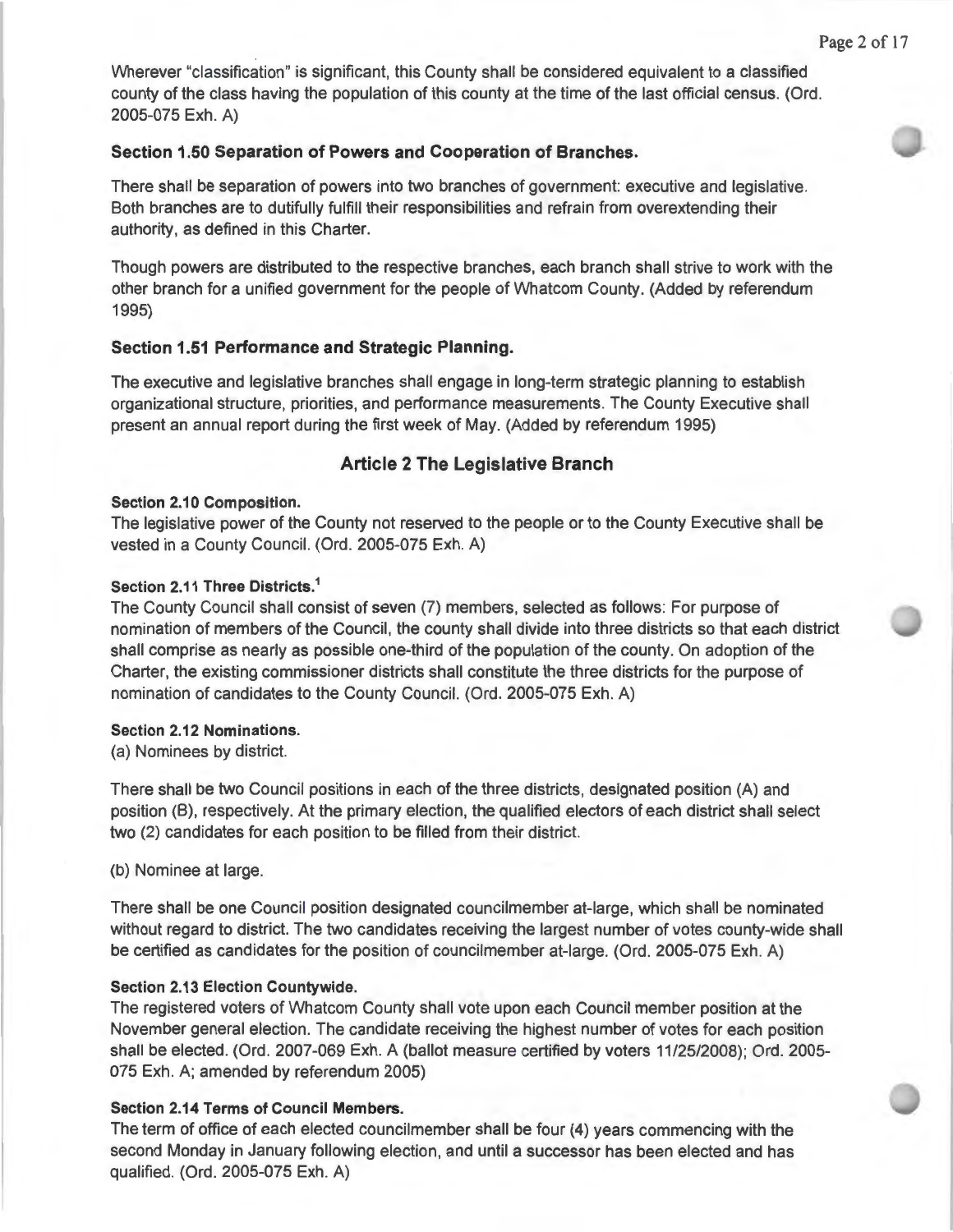Wherever "classification" is significant, this County shall be considered equivalent to a classified county of the class having the population of this county at the time of the last official census. (Ord. 2005-075 Exh. A)

#### **Section 1.50 Separation of Powers and Cooperation of Branches.**

There shall be separation of powers into two branches of government: executive and legislative. Both branches are to dutifully fulfill their responsibilities and refrain from overextending their authority, as defined in this Charter.

Though powers are distributed to the respective branches, each branch shall strive to work with the other branch for a unified government for the people of Whatcom County. (Added by referendum 1995)

#### **Section 1.51 Performance and Strategic Planning.**

The executive and legislative branches shall engage in long-term strategic planning to establish organizational structure, priorities, and performance measurements. The County Executive shall present an annual report during the first week of May. (Added by referendum 1995)

#### **Article 2 The Legislative Branch**

#### **Section 2.10 Composition.**

The legislative power of the County not reserved to the people or to the County Executive shall be vested in a County Council. (Ord. 2005-075 Exh. A)

#### **Section 2.11 Three Districts. 1**

The County Council shall consist of seven (7) members, selected as follows: For purpose of nomination of members of the Council, the county shall divide into three districts so that each district shall comprise as nearly as possible one-third of the population of the county. On adoption of the Charter, the existing commissioner districts shall constitute the three districts for the purpose of nomination of candidates to the County Council. (Ord. 2005-075 Exh. A)

#### **Section 2.12 Nominations.**

(a) Nominees by district.

There shall be two Council positions in each of the three districts, designated position (A) and position (8), respectively. At the primary election, the qualified electors of each district shall select two (2) candidates for each position to be filled from their district.

(b) Nominee at large.

There shall be one Council position designated councilmember at-large, which shall be nominated without regard to district. The two candidates receiving the largest number of votes county-wide shall be certified as candidates for the position of councilmember at-large. (Ord. 2005-075 Exh. A)

#### **Section 2.13 Election Countywide.**

The registered voters of Whatcom County shall vote upon each Council member position at the November general election. The candidate receiving the highest number of votes for each position shall be elected. (Ord. 2007-069 Exh. A (ballot measure certified by voters 11/25/2008); Ord. 2005- 075 Exh. A; amended by referendum 2005)

#### **Section 2.14 Terms of Council Members.**

The term of office of each elected councilmember shall be four (4) years commencing with the second Monday in January following election, and until a successor has been elected and has qualified. (Ord. 2005-075 Exh. A)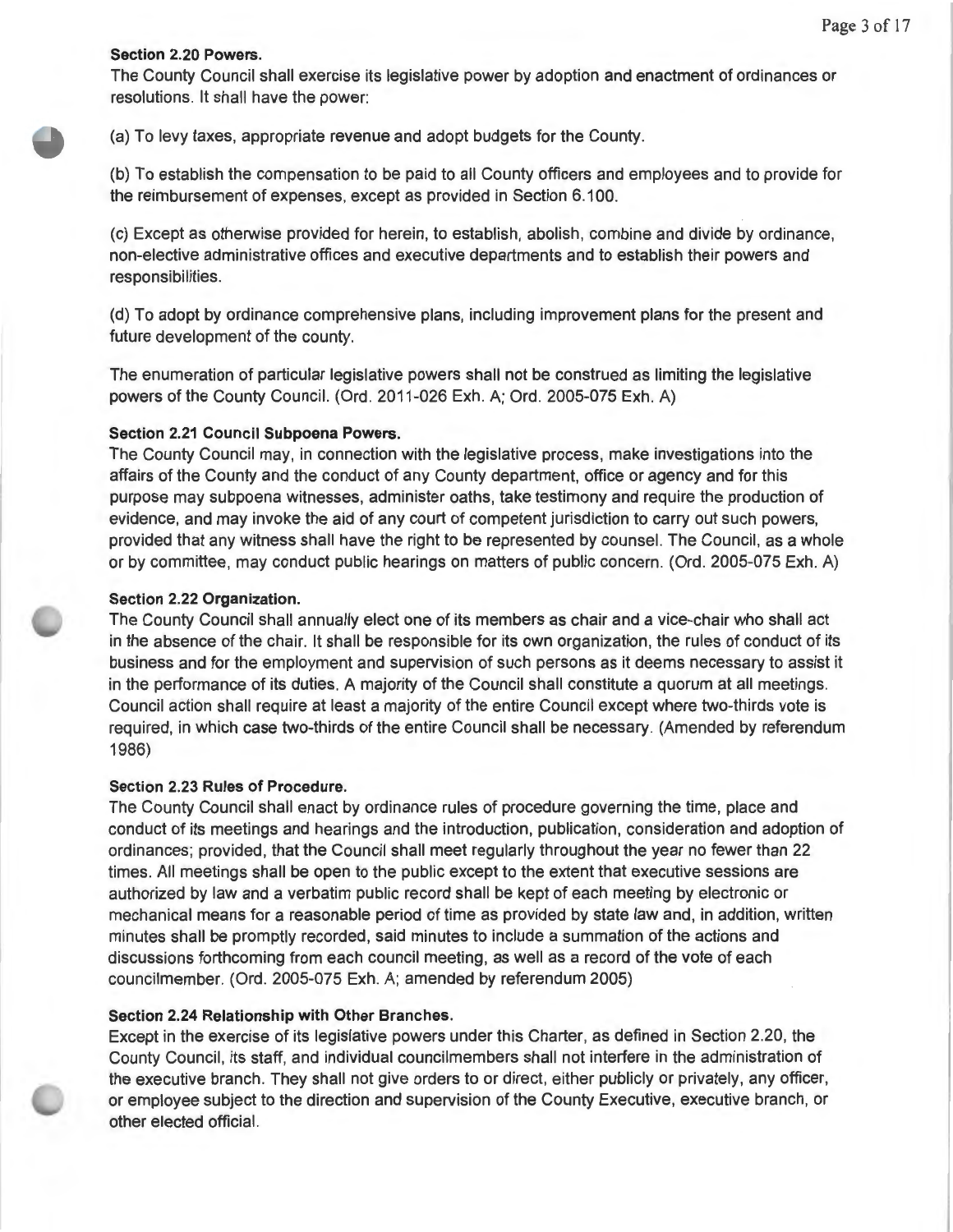#### **Section 2.20 Powers.**

The County Council shall exercise its legislative power by adoption and enactment of ordinances or resolutions. It shall have the power:

(a) To levy taxes, appropriate revenue and adopt budgets for the County.

(b) To establish the compensation to be paid to all County officers and employees and to provide for the reimbursement of expenses, except as provided in Section 6.100.

(c) Except as otherwise provided for herein, to establish, abolish, combine and divide by ordinance, non-elective administrative offices and executive departments and to establish their powers and responsibilities.

(d) To adopt by ordinance comprehensive plans, including improvement plans for the present and future development of the county.

The enumeration of particular legislative powers shall not be construed as limiting the legislative powers of the County Council. (Ord. 2011 -026 Exh. A; Ord. 2005-075 Exh. A)

#### **Section 2.21 Council Subpoena Powers.**

The County Council may, in connection with the legislative process, make investigations into the affairs of the County and the conduct of any County department, office or agency and for this purpose may subpoena witnesses, administer oaths, take testimony and require the production of evidence, and may invoke the aid of any court of competent jurisdiction to carry out such powers, provided that any witness shall have the right to be represented by counsel. The Council, as a whole or by committee, may conduct public hearings on matters of public concern. (Ord. 2005-075 Exh. A)

#### **Section 2.22 Organization.**

The County Council shall annually elect one of its members as chair and a vice-chair who shall act in the absence of the chair. It shall be responsible for its own organization, the rules of conduct of its business and for the employment and supervision of such persons as it deems necessary to assist it in the performance of its duties. A majority of the Council shall constitute a quorum at all meetings. Council action shall require at least a majority of the entire Council except where two-thirds vote is required , in which case two-thirds of the entire Council shall be necessary. (Amended by referendum 1986)

#### **Section 2.23 Rules of Procedure.**

The County Council shall enact by ordinance rules of procedure governing the time, place and conduct of its meetings and hearings and the introduction, publication, consideration and adoption of ordinances; provided, that the Council shall meet regularly throughout the year no fewer than 22 times. All meetings shall be open to the public except to the extent that executive sessions are authorized by law and a verbatim public record shall be kept of each meeting by electronic or mechanical means for a reasonable period of time as provided by state law and, in addition, written minutes shall be promptly recorded , said minutes to include a summation of the actions and discussions forthcoming from each council meeting, as well as a record of the vote of each councilmember. (Ord. 2005-075 Exh. A; amended by referendum 2005)

#### **Section 2.24 Relationship with Other Branches.**

Except in the exercise of its legislative powers under this Charter, as defined in Section 2.20, the County Council, its staff, and individual councilmembers shall not interfere in the administration of the executive branch. They shall not give orders to or direct, either publicly or privately, any officer, or employee subject to the direction and supervision of the County Executive, executive branch, or other elected official.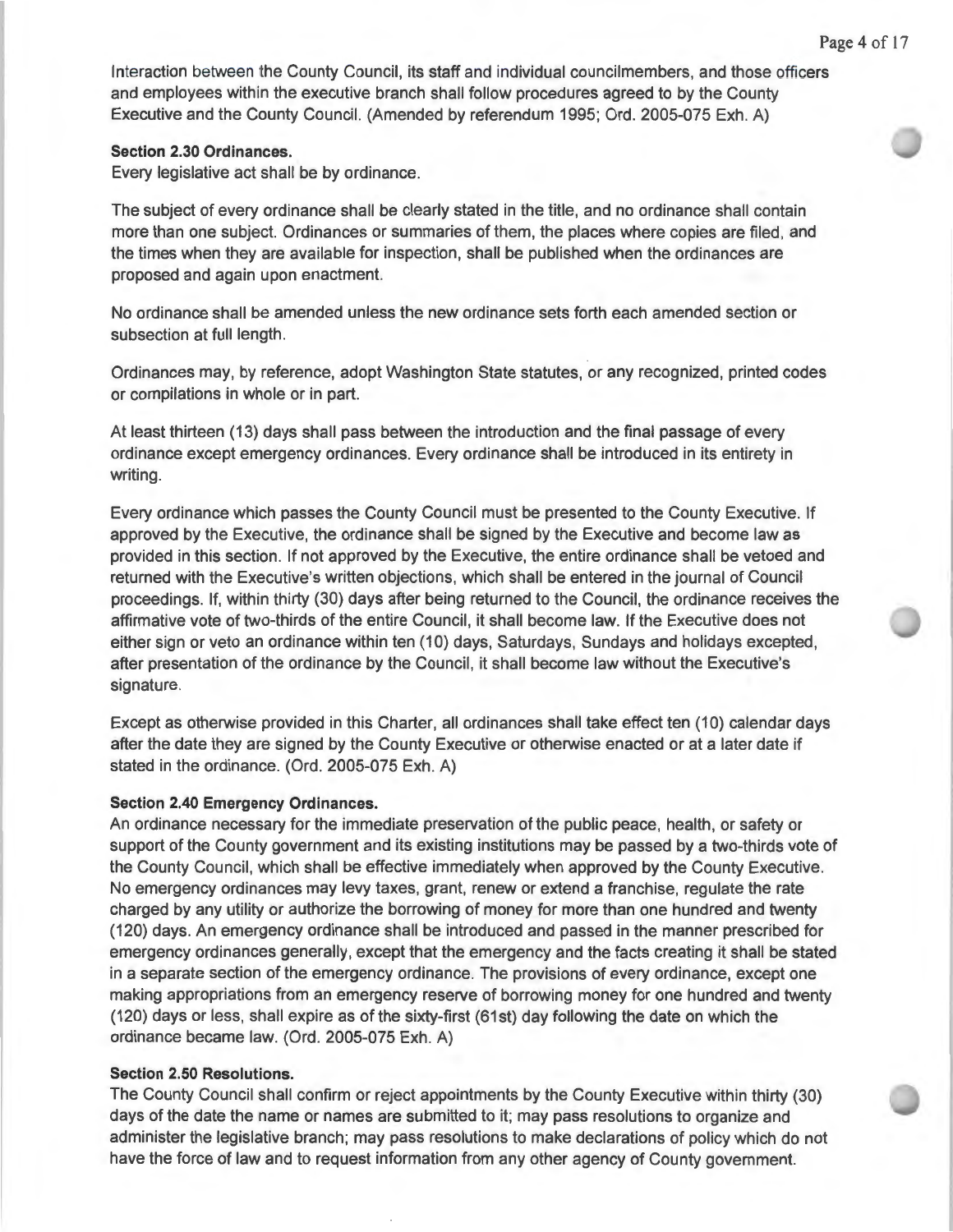Interaction between the County Council, its staff and individual councilmembers, and those officers and employees within the executive branch shall follow procedures agreed to by the County Executive and the County Council. (Amended by referendum 1995; Ord. 2005-075 Exh. A)

#### **Section 2.30 Ordinances.**

Every legislative act shall be by ordinance.

The subject of every ordinance shall be clearly stated in the title, and no ordinance shall contain more than one subject. Ordinances or summaries of them, the places where copies are filed, and the times when they are available for inspection, shall be published when the ordinances are proposed and again upon enactment.

No ordinance shall be amended unless the new ordinance sets forth each amended section or subsection at full length.

Ordinances may, by reference, adopt Washington State statutes, or any recognized , printed codes or compilations in whole or in part.

At least thirteen (13) days shall pass between the introduction and the final passage of every ordinance except emergency ordinances. Every ordinance shall be introduced in its entirety in writing.

Every ordinance which passes the County Council must be presented to the County Executive. If approved by the Executive, the ordinance shall be signed by the Executive and become law as provided in this section. If not approved by the Executive, the entire ordinance shall be vetoed and returned with the Executive's written objections, which shall be entered in the journal of Council proceedings. If, within thirty (30) days after being returned to the Council, the ordinance receives the affirmative vote of two-thirds of the entire Council, it shall become law. If the Executive does not either sign or veto an ordinance within ten (10) days, Saturdays, Sundays and holidays excepted, after presentation of the ordinance by the Council, it shall become law without the Executive's signature.

Except as otherwise provided in this Charter, all ordinances shall take effect ten (10) calendar days after the date they are signed by the County Executive or otherwise enacted or at a later date if stated in the ordinance. (Ord. 2005-075 Exh. A)

#### **Section 2.40 Emergency Ordinances.**

An ordinance necessary for the immediate preservation of the public peace, health, or safety or support of the County government and its existing institutions may be passed by a two-thirds vote of the County Council, which shall be effective immediately when approved by the County Executive. No emergency ordinances may levy taxes, grant, renew or extend a franchise, regulate the rate charged by any utility or authorize the borrowing of money for more than one hundred and twenty (120) days. An emergency ordinance shall be introduced and passed in the manner prescribed for emergency ordinances generally, except that the emergency and the facts creating it shall be stated in a separate section of the emergency ordinance. The provisions of every ordinance, except one making appropriations from an emergency reserve of borrowing money for one hundred and twenty (120) days or less, shall expire as of the sixty-first (61 st) day following the date on which the ordinance became law. (Ord. 2005-075 Exh. A)

#### **Section 2.50 Resolutions.**

The County Council shall confirm or reject appointments by the County Executive within thirty (30) days of the date the name or names are submitted to it; may pass resolutions to organize and administer the legislative branch; may pass resolutions to make declarations of policy which do not have the force of law and to request information from any other agency of County government.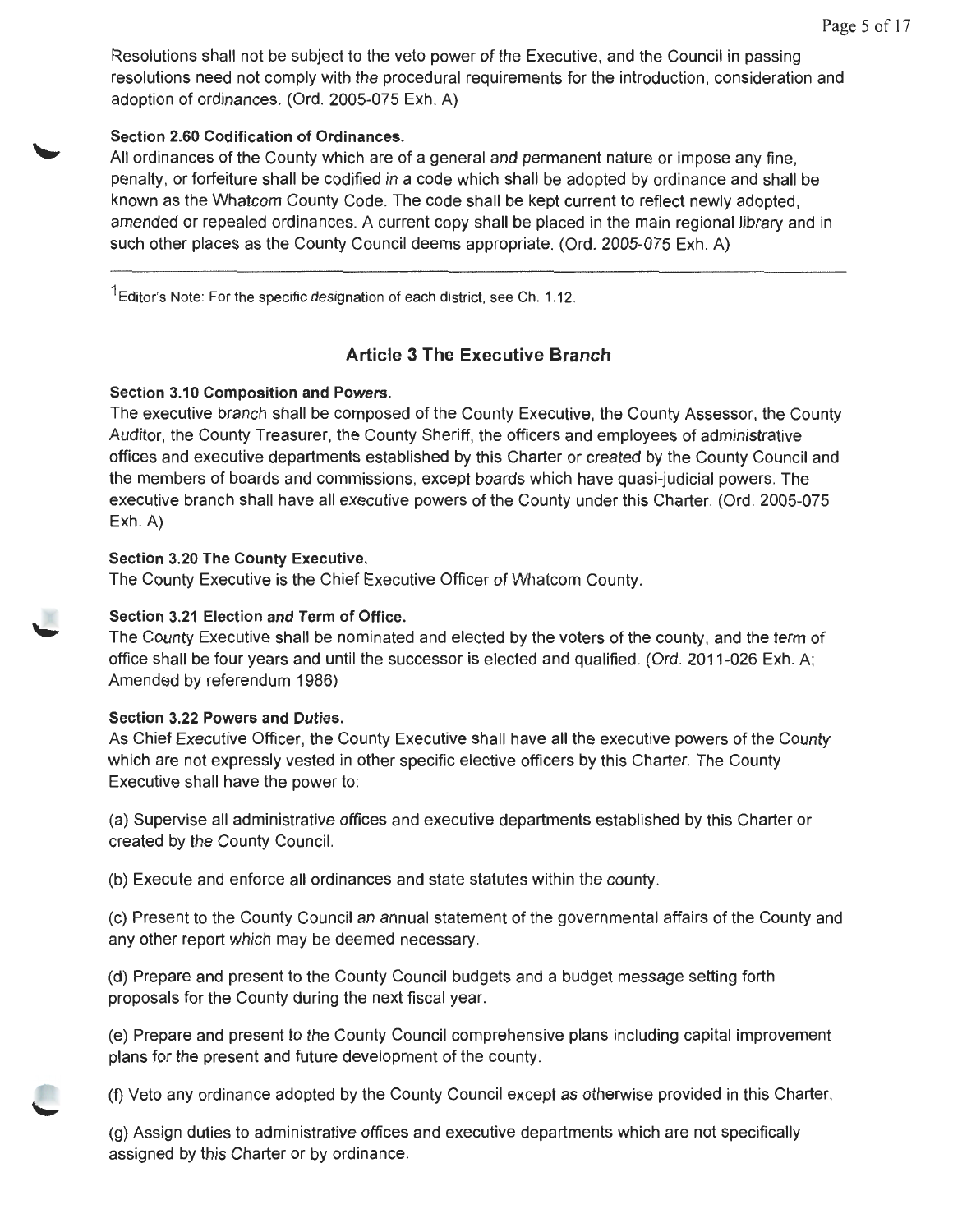Resolutions shall not be subject to the veto power of the Executive, and the Council in passing resolutions need not comply with the procedural requirements for the introduction, consideration and adoption of ordinances. (Ord. 2005-075 Exh. A)

# **Section 2.60 Codification of Ordinances.**

All ordinances of the County which are of a general and permanent nature or impose any fine, penalty, or forfeiture shall be codified in a code which shall be adopted by ordinance and shall be known as the Whatcom County Code. The code shall be kept current to reflect newly adopted, amended or repealed ordinances. A current copy shall be placed in the main regional library and in such other places as the County Council deems appropriate. (Ord. 2005-075 Exh. A)

 $1$  Editor's Note: For the specific designation of each district, see Ch. 1.12.

# **Article 3 The Executive Branch**

# **Section 3.10 Composition and Powers.**

The executive branch shall be composed of the County Executive, the County Assessor, the County Auditor, the County Treasurer, the County Sheriff, the officers and employees of administrative offices and executive departments established by this Charter or created by the County Council and the members of boards and commissions, except boards which have quasi-judicial powers. The executive branch shall have all executive powers of the County under this Charter. (Ord. 2005-075 Exh. A)

# **Section 3.20 The County Executive.**

The County Executive is the Chief Executive Officer of Whatcom County.

# **Section 3.21 Election and Term of Office.**

The County Executive shall be nominated and elected by the voters of the county, and the term of office shall be four years and until the successor is elected and qualified. (Ord. 2011-026 Exh. A; Amended by referendum 1986)

# **Section 3.22 Powers and Duties.**

As Chief Executive Officer, the County Executive shall have all the executive powers of the County which are not expressly vested in other specific elective officers by this Charter. The County Executive shall have the power to:

(a) Supervise all administrative offices and executive departments established by this Charter or created by the County Council.

(b) Execute and enforce all ordinances and state statutes within the county.

(c) Present to the County Council an annual statement of the governmental affairs of the County and any other report which may be deemed necessary.

(d) Prepare and present to the County Council budgets and a budget message setting forth proposals for the County during the next fiscal year.

(e) Prepare and present to the County Council comprehensive plans including capital improvement plans for the present and future development of the county.

(f) Veto any ordinance adopted by the County Council except as otherwise provided in this Charter.

(g) Assign duties to administrative offices and executive departments which are not specifically assigned by this Charter or by ordinance.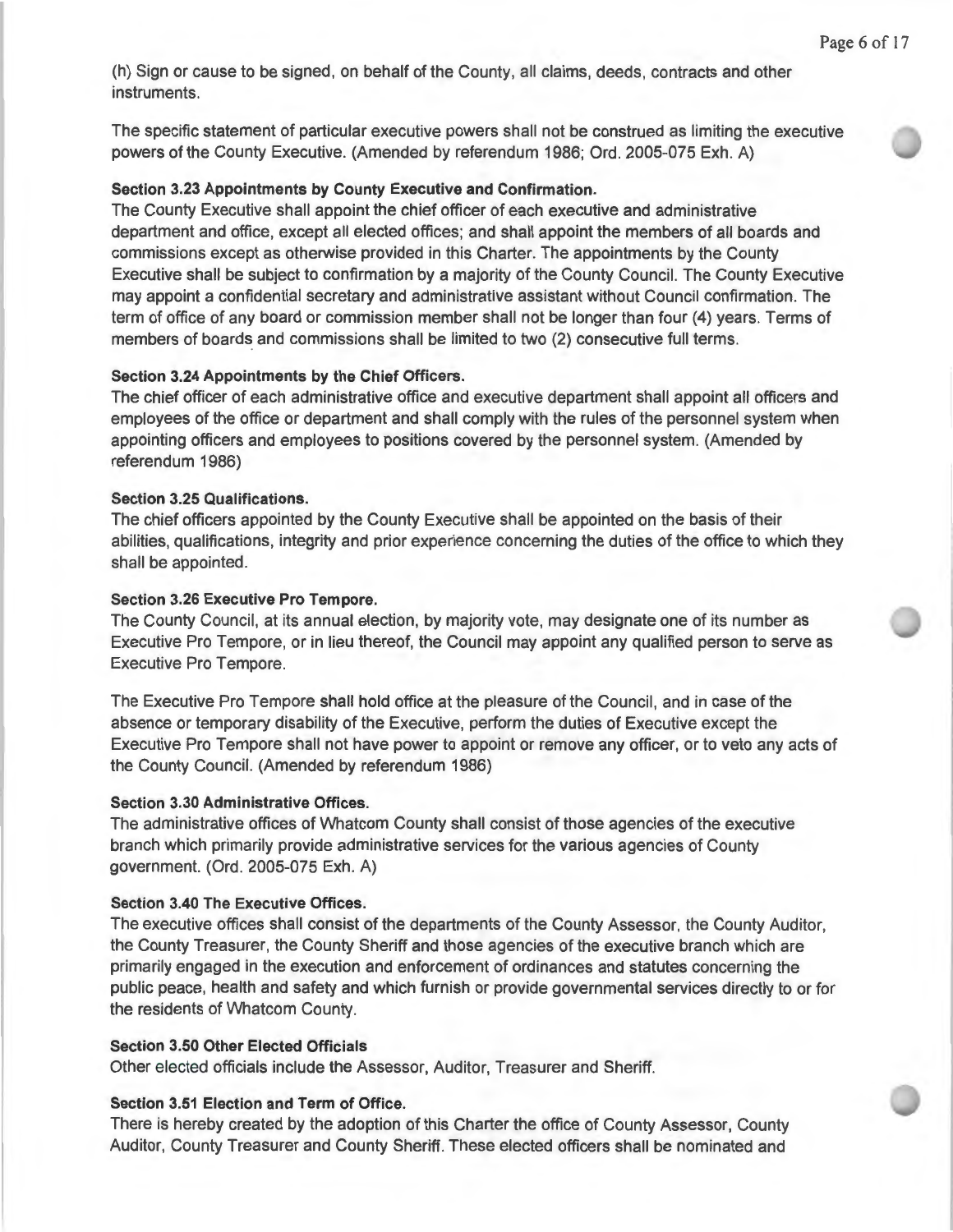(h) Sign or cause to be signed, on behalf of the County, all claims, deeds, contracts and other instruments.

The specific statement of particular executive powers shall not be construed as limiting the executive powers of the County Executive. (Amended by referendum 1986; Ord. 2005-075 Exh. A)

#### **Section 3.23 Appointments by County Executive and Confirmation.**

The County Executive shall appoint the chief officer of each executive and administrative department and office, except all elected offices; and shall appoint the members of all boards and commissions except as otherwise provided in this Charter. The appointments by the County Executive shall be subject to confirmation by a majority of the County Council. The County Executive may appoint a confidential secretary and administrative assistant without Council confirmation. The term of office of any board or commission member shall not be longer than four **(4)** years. Terms of members of boards and commissions shall be limited to two (2) consecutive full terms.

#### **Section 3.24 Appointments by the Chief Officers.**

The chief officer of each administrative office and executive department shall appoint all officers and employees of the office or department and shall comply with the rules of the personnel system when appointing officers and employees to positions covered by the personnel system. (Amended by referendum 1986)

#### **Section 3.25 Qualifications.**

The chief officers appointed by the County Executive shall be appointed on the basis of their abilities, qualifications, integrity and prior experience concerning the duties of the office to which they shall be appointed.

# **Section 3.26 Executive Pro Tempore.**

The County Council, at its annual election, by majority vote, may designate one of its number as Executive Pro Tempore, or in lieu thereof, the Council may appoint any qualified person to serve as Executive Pro Tempore.

The Executive Pro Tempore shall hold office at the pleasure of the Council, and in case of the absence or temporary disability of the Executive, perform the duties of Executive except the Executive Pro Tempore shall not have power to appoint or remove any officer, or to veto any acts of the County Council. (Amended by referendum 1986)

#### **Section 3.30 Administrative Offices.**

The administrative offices of Whatcom County shall consist of those agencies of the executive branch which primarily provide administrative services for the various agencies of County government. (Ord. 2005-075 Exh. A)

#### **Section 3.40 The Executive Offices.**

The executive offices shall consist of the departments of the County Assessor, the County Auditor, the County Treasurer, the County Sheriff and those agencies of the executive branch which are primarily engaged in the execution and enforcement of ordinances and statutes concerning the public peace, health and safety and which furnish or provide governmental services directly to or for the residents of Whatcom County.

#### **Section 3.50 Other Elected Officials**

Other elected officials include the Assessor, Auditor, Treasurer and Sheriff.

## **Section 3.51 Election and Term of Office.**

There is hereby created by the adoption of this Charter the office of County Assessor, County Auditor, County Treasurer and County Sheriff. These elected officers shall be nominated and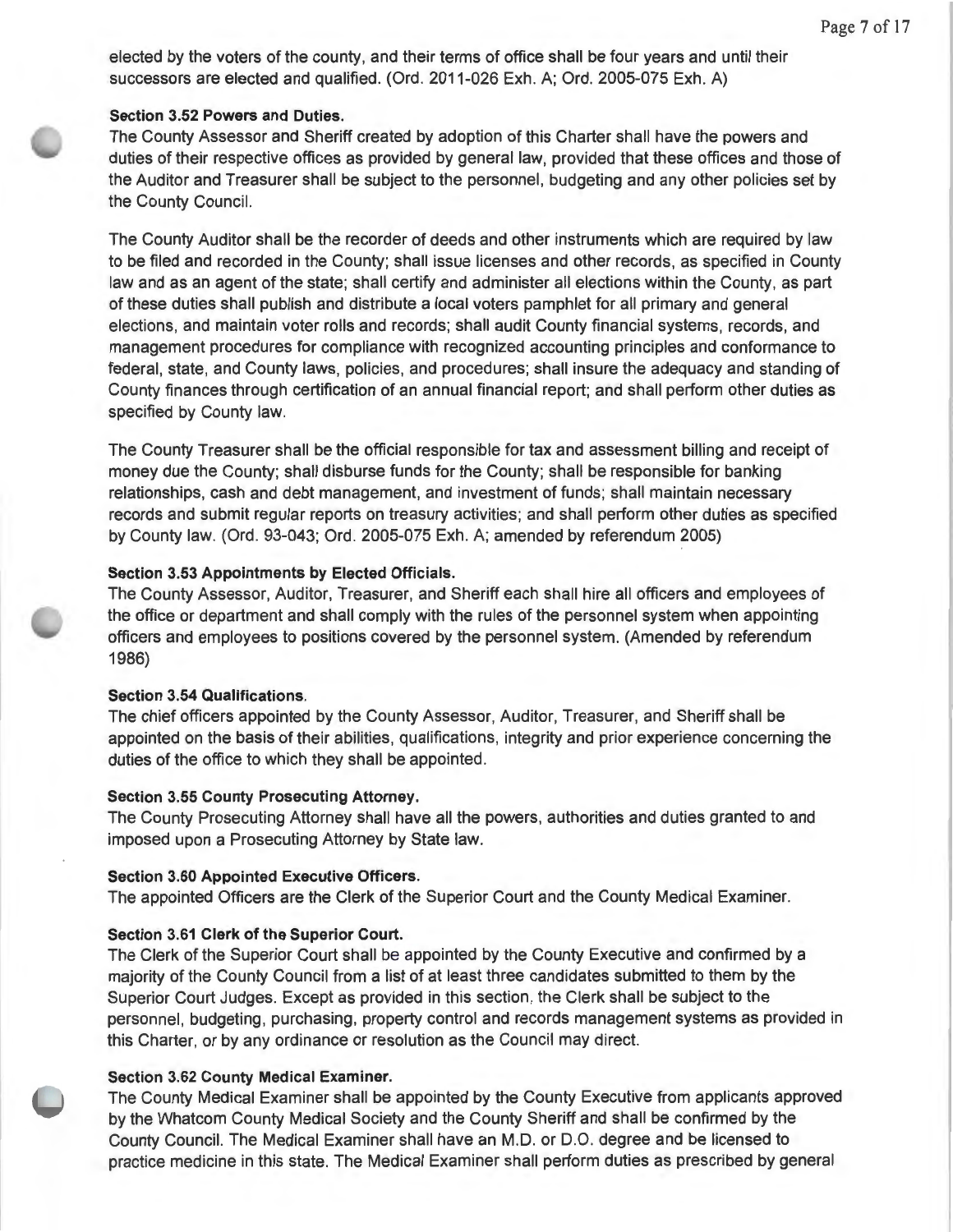elected by the voters of the county, and their terms of office shall be four years and until their successors are elected and qualified. (Ord. 2011-026 Exh. A; Ord. 2005-075 Exh. A)

#### **Section 3.52 Powers and Duties.**

The County Assessor and Sheriff created by adoption of this Charter shall have the powers and duties of their respective offices as provided by general law, provided that these offices and those of the Auditor and Treasurer shall be subject to the personnel, budgeting and any other policies set by the County Council.

The County Auditor shall be the recorder of deeds and other instruments which are required by law to be filed and recorded in the County; shall issue licenses and other records, as specified in County law and as an agent of the state; shall certify and administer all elections within the County, as part of these duties shall publish and distribute a local voters pamphlet for all primary and general elections, and maintain voter rolls and records; shall audit County financial systems, records, and management procedures for compliance with recognized accounting principles and conformance to federal, state, and County laws, policies, and procedures; shall insure the adequacy and standing of County finances through certification of an annual financial report; and shall perform other duties as specified by County law.

The County Treasurer shall be the official responsible for tax and assessment billing and receipt of money due the County; shall disburse funds for the County; shall be responsible for banking relationships, cash and debt management, and investment of funds; shall maintain necessary records and submit regular reports on treasury activities; and shall perform other duties as specified by County law. (Ord. 93-043; Ord. 2005-075 Exh. A; amended by referendum 2005)

#### **Section 3.53 Appointments by Elected Officials.**

The County Assessor, Auditor, Treasurer, and Sheriff each shall hire all officers and employees of the office or department and shall comply with the rules of the personnel system when appointing officers and employees to positions covered by the personnel system. (Amended by referendum 1986)

#### **Section 3.54 Qualifications.**

The chief officers appointed by the County Assessor, Auditor, Treasurer, and Sheriff shall be appointed on the basis of their abilities, qualifications, integrity and prior experience concerning the duties of the office to which they shall be appointed.

#### **Section 3.55 County Prosecuting Attorney.**

The County Prosecuting Attorney shall have all the powers, authorities and duties granted to and imposed upon a Prosecuting Attorney by State law.

#### **Section 3.60 Appointed Executive Officers.**

The appointed Officers are the Clerk of the Superior Court and the County Medical Examiner.

## **Section 3.61 Clerk of the Superior Court.**

The Clerk of the Superior Court shall be appointed by the County Executive and confirmed by a majority of the County Council from a list of at least three candidates submitted to them by the Superior Court Judges. Except as provided in this section, the Clerk shall be subject to the personnel, budgeting, purchasing, property control and records management systems as provided in this Charter, or by any ordinance or resolution as the Council may direct.

## **Section 3.62 County Medical Examiner.**

The County Medical Examiner shall be appointed by the County Executive from applicants approved by the Whatcom County Medical Society and the County Sheriff and shall be confirmed by the County Council. The Medical Examiner shall have an M.D. or 0 .0 . degree and be licensed to practice medicine in this state. The Medical Examiner shall perform duties as prescribed by general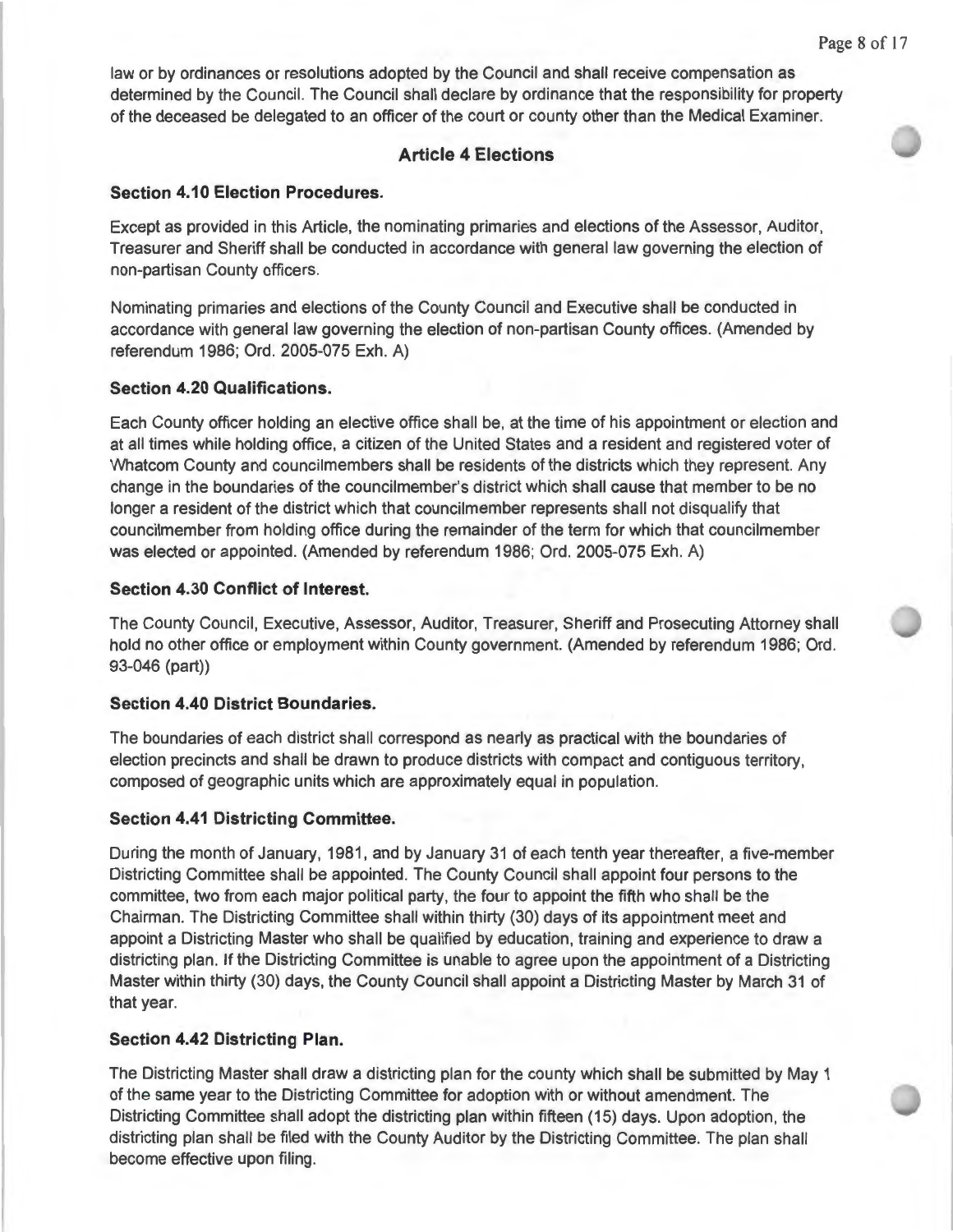law or by ordinances or resolutions adopted by the Council and shall receive compensation as determined by the Council. The Council shall declare by ordinance that the responsibility for property of the deceased be delegated to an officer of the court or county other than the Medical Examiner.

# **Article 4 Elections**

## **Section 4.10 Election Procedures.**

Except as provided in this Article, the nominating primaries and elections of the Assessor, Auditor, Treasurer and Sheriff shall be conducted in accordance with general law governing the election of non-partisan County officers.

Nominating primaries and elections of the County Council and Executive shall be conducted in accordance with general law governing the election of non-partisan County offices. (Amended by referendum 1986; Ord. 2005-075 Exh. A)

#### **Section 4.20 Qualifications.**

Each County officer holding an elective office shall be, at the time of his appointment or election and at all times while holding office, a citizen of the United States and a resident and registered voter of Whatcom County and councilmembers shall be residents of the districts which they represent. Any change in the boundaries of the councilmember's district which shall cause that member to be no longer a resident of the district which that councilmember represents shall not disqualify that councilmember from holding office during the remainder of the term for which that councilmember was elected or appointed. (Amended by referendum 1986; Ord. 2005-075 Exh. A)

#### **Section 4.30 Conflict of Interest.**

The County Council, Executive, Assessor, Auditor, Treasurer, Sheriff and Prosecuting Attorney shall hold no other office or employment within County government. (Amended by referendum 1986; Ord. 93-046 (part))

## **Section 4.40 District Boundaries.**

The boundaries of each district shall correspond as nearly as practical with the boundaries of election precincts and shall be drawn to produce districts with compact and contiguous territory, composed of geographic units which are approximately equal in population.

#### **Section 4.41 Districting Committee.**

During the month of January, 1981 , and by January 31 of each tenth year thereafter, a five-member Districting Committee shall be appointed. The County Council shall appoint four persons to the committee, two from each major political party, the four to appoint the fifth who shall be the Chairman. The Districting Committee shall within thirty (30) days of its appointment meet and appoint a Districting Master who shall be qualified by education, training and experience to draw a districting plan. If the Districting Committee is unable to agree upon the appointment of a Districting Master within thirty (30) days, the County Council shall appoint a Districting Master by March 31 of that year.

#### **Section 4.42 Districting Plan.**

The Districting Master shall draw a districting plan for the county which shall be submitted by May 1 of the same year to the Districting Committee for adoption with or without amendment. The Districting Committee shall adopt the districting plan within fifteen (15) days. Upon adoption, the districting plan shall be filed with the County Auditor by the Districting Committee. The plan shall become effective upon filing.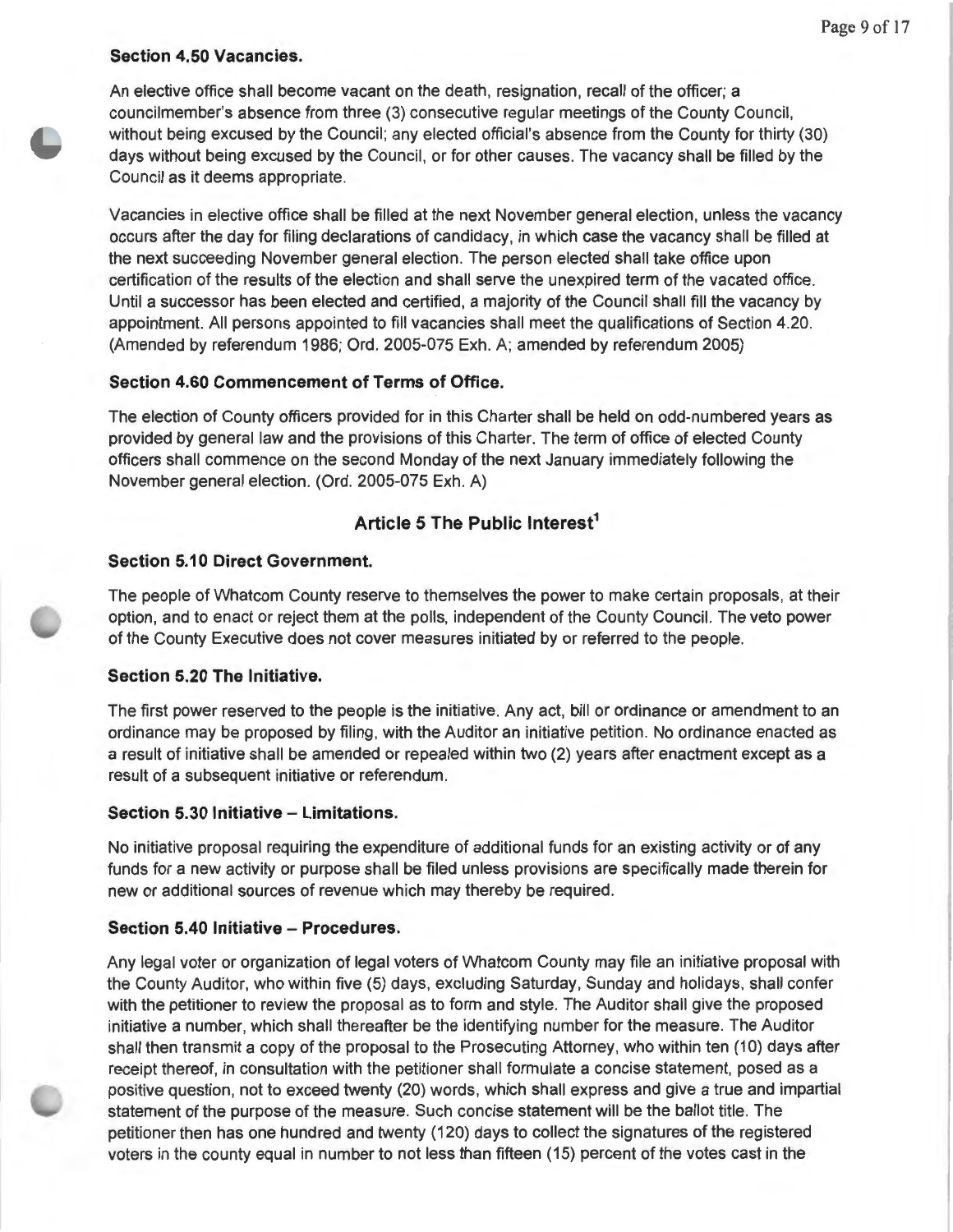# **Section 4.50 Vacancies.**

An elective office shall become vacant on the death, resignation, recall of the officer; a councilmember's absence from three (3) consecutive regular meetings of the County Council, without being excused by the Council; any elected official's absence from the County for thirty (30) days without being excused by the Council, or for other causes. The vacancy shall be filled by the Council as it deems appropriate.

Vacancies in elective office shall be filled at the next November general election, unless the vacancy occurs after the day for filing declarations of candidacy, in which case the vacancy shall be filled at the next succeeding November general election. The person elected shall take office upon certification of the results of the election and shall serve the unexpired term of the vacated office. Until a successor has been elected and certified, a majority of the Council shall fill the vacancy by appointment. All persons appointed to fill vacancies shall meet the qualifications of Section 4.20. (Amended by referendum 1986; Ord. 2005-075 Exh. A; amended by referendum 2005)

## **Section 4.60 Commencement of Terms of Office.**

The election of County officers provided for in this Charter shall be held on odd-numbered years as provided by general law and the provisions of this Charter. The term of office of elected County officers shall commence on the second Monday of the next January immediately following the November general election. (Ord. 2005-075 Exh. A)

# **Article 5 The Public lnterest<sup>1</sup>**

## **Section 5.10 Direct Government.**

The people of Whatcom County reserve to themselves the power to make certain proposals, at their option, and to enact or reject them at the polls, independent of the County Council. The veto power of the County Executive does not cover measures initiated by or referred to the people.

## **Section 5.20 The Initiative.**

The first power reserved to the people is the initiative. Any act, bill or ordinance or amendment to an ordinance may be proposed by filing, with the Auditor an initiative petition. No ordinance enacted as a result of initiative shall be amended or repealed within two (2) years after enactment except as a result of a subsequent initiative or referendum .

#### **Section 5.30 Initiative - Limitations.**

No initiative proposal requiring the expenditure of additional funds for an existing activity or of any funds for a new activity or purpose shall be filed unless provisions are specifically made therein for new or additional sources of revenue which may thereby be required .

## **Section 5.40 Initiative - Procedures.**

Any legal voter or organization of legal voters of Whatcom County may file an initiative proposal with the County Auditor, who within five (5) days, excluding Saturday, Sunday and holidays, shall confer with the petitioner to review the proposal as to form and style. The Auditor shall give the proposed initiative a number, which shall thereafter be the identifying number for the measure. The Auditor shall then transmit a copy of the proposal to the Prosecuting Attorney, who within ten (10) days after receipt thereof, in consultation with the petitioner shall formulate a concise statement, posed as a positive question, not to exceed twenty (20) words, which shall express and give a true and impartial statement of the purpose of the measure. Such concise statement will be the ballot title. The petitioner then has one hundred and twenty (120) days to collect the signatures of the registered voters in the county equal in number to not less than fifteen (15) percent of the votes cast in the

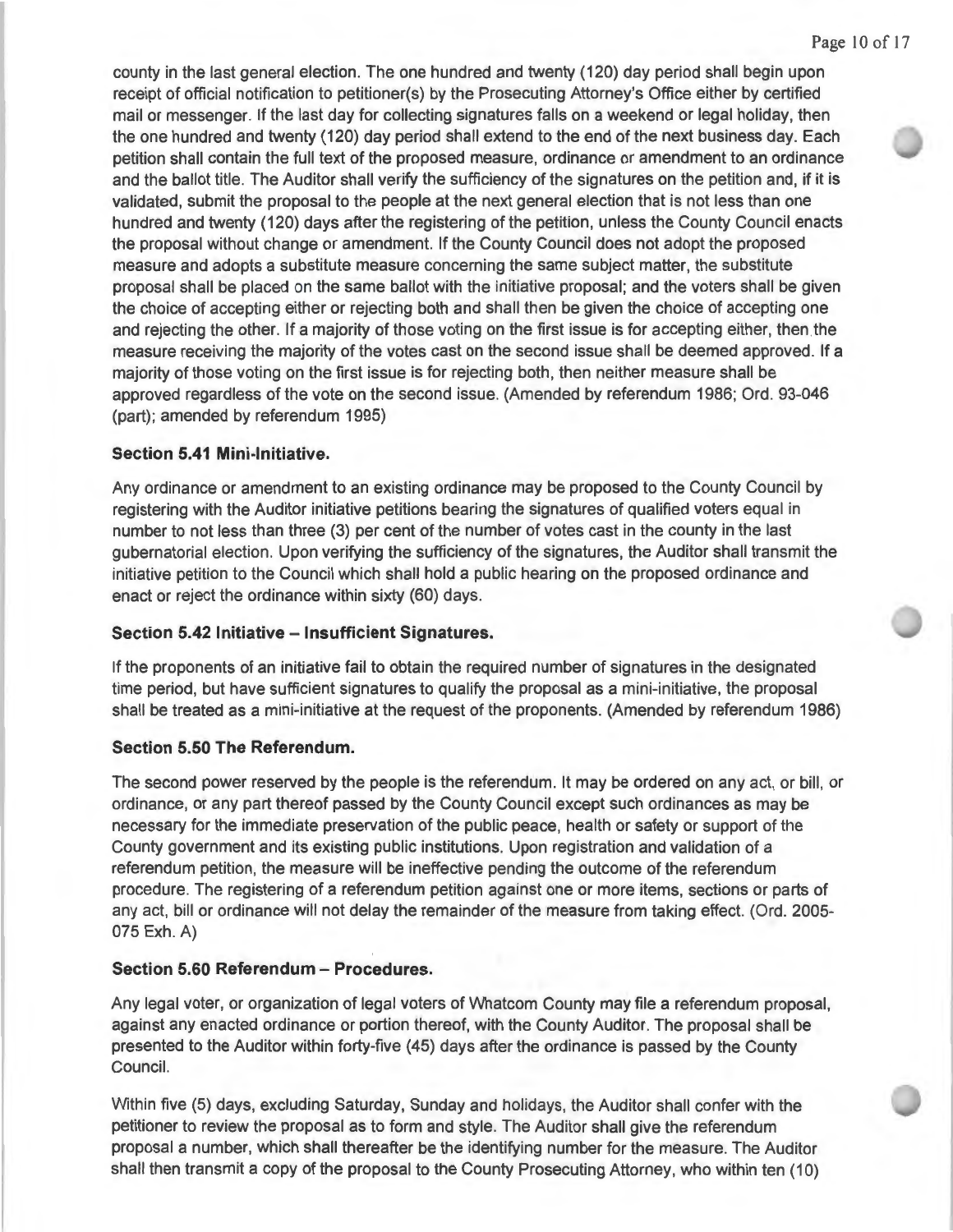county in the last general election. The one hundred and twenty (120) day period shall begin upon receipt of official notification to petitioner(s) by the Prosecuting Attorney's Office either by certified mail or messenger. If the last day for collecting signatures falls on a weekend or legal holiday, then the one hundred and twenty (120) day period shall extend to the end of the next business day. Each petition shall contain the full text of the proposed measure, ordinance or amendment to an ordinance and the ballot title. The Auditor shall verify the sufficiency of the signatures on the petition and, if it is validated, submit the proposal to the people at the next general election that is not less than one hundred and twenty (120) days after the registering of the petition, unless the County Council enacts the proposal without change or amendment. If the County Council does not adopt the proposed measure and adopts a substitute measure concerning the same subject matter, the substitute proposal shall be placed on the same ballot with the initiative proposal; and the voters shall be given the choice of accepting either or rejecting both and shall then be given the choice of accepting one and rejecting the other. If a majority of those voting on the first issue is for accepting either, then the measure receiving the majority of the votes cast on the second issue shall be deemed approved. If a majority of those voting on the first issue is for rejecting both, then neither measure shall be approved regardless of the vote on the second issue. (Amended by referendum 1986; Ord. 93-046 (part); amended by referendum 1995)

#### **Section 5.41 Mini-Initiative.**

Any ordinance or amendment to an existing ordinance may be proposed to the County Council by registering with the Auditor initiative petitions bearing the signatures of qualified voters equal in number to not less than three (3) per cent of the number of votes cast in the county in the last gubernatorial election. Upon verifying the sufficiency of the signatures, the Auditor shall transmit the initiative petition to the Council which shall hold a public hearing on the proposed ordinance and enact or reject the ordinance within sixty (60) days.

## **Section 5.42 Initiative - Insufficient Signatures.**

If the proponents of an initiative fail to obtain the required number of signatures in the designated time period, but have sufficient signatures to qualify the proposal as a mini-initiative, the proposal shall be treated as a mini-initiative at the request of the proponents. (Amended by referendum 1986)

## **Section 5.50 The Referendum.**

The second power reserved by the people is the referendum. It may be ordered on any act, or bill, or ordinance, or any part thereof passed by the County Council except such ordinances as may be necessary for the immediate preservation of the public peace, health or safety or support of the County government and its existing public institutions. Upon registration and validation of a referendum petition, the measure will be ineffective pending the outcome of the referendum procedure. The registering of a referendum petition against one or more items, sections or parts of any act, bill or ordinance will not delay the remainder of the measure from taking effect. (Ord. 2005- 075 Exh. A)

## **Section 5.60 Referendum - Procedures.**

Any legal voter, or organization of legal voters of Whatcom County may file a referendum proposal, against any enacted ordinance or portion thereof, with the County Auditor. The proposal shall be presented to the Auditor within forty-five (45) days after the ordinance is passed by the County Council.

Within five (5) days, excluding Saturday, Sunday and holidays, the Auditor shall confer with the petitioner to review the proposal as to form and style. The Auditor shall give the referendum proposal a number, which shall thereafter be the identifying number for the measure. The Auditor shall then transmit a copy of the proposal to the County Prosecuting Attorney, who within ten (10)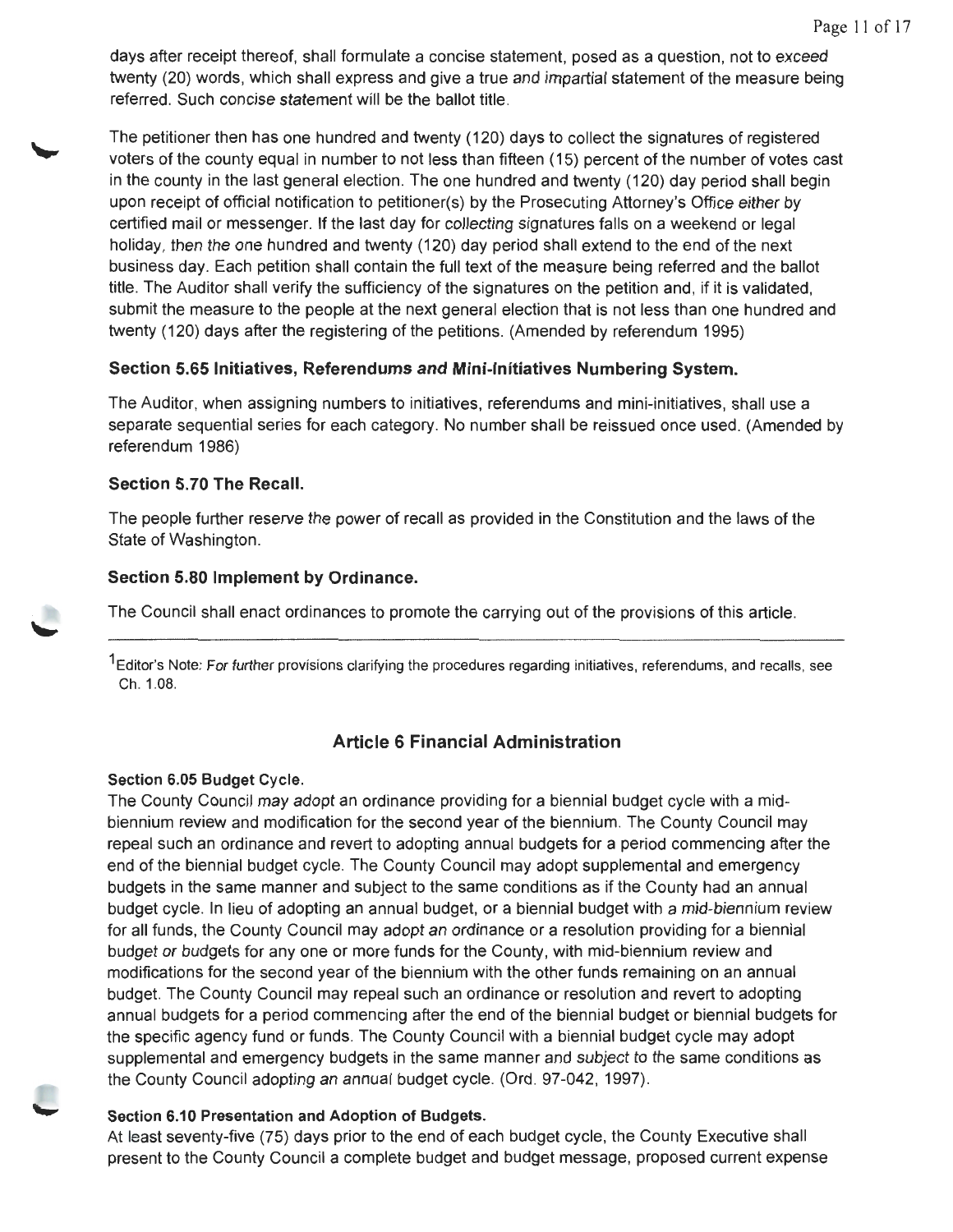days after receipt thereof, shall formulate a concise statement, posed as a question, not to exceed twenty (20) words, which shall express and give a true and impartial statement of the measure being referred. Such concise statement will be the ballot title.

The petitioner then has one hundred and twenty ( 120) days to collect the signatures of registered voters of the county equal in number to not less than fifteen (15) percent of the number of votes cast in the county in the last general election. The one hundred and twenty (120) day period shall begin upon receipt of official notification to petitioner(s) by the Prosecuting Attorney's Office either by certified mail or messenger. If the last day for collecting signatures falls on a weekend or legal holiday, then the one hundred and twenty (120) day period shall extend to the end of the next business day. Each petition shall contain the full text of the measure being referred and the ballot title. The Auditor shall verify the sufficiency of the signatures on the petition and, if it is validated, submit the measure to the people at the next general election that is not less than one hundred and twenty (120) days after the registering of the petitions. (Amended by referendum 1995)

# **Section 5.65 Initiatives, Referendums and Mini-Initiatives Numbering System.**

The Auditor, when assigning numbers to initiatives, referendums and mini-initiatives, shall use a separate sequential series for each category. No number shall be reissued once used. (Amended by referendum 1986)

# **Section 5.70 The Recall.**

The people further reserve the power of recall as provided in the Constitution and the laws of the State of Washington.

# **Section 5.80 Implement by Ordinance.**

The Council shall enact ordinances to promote the carrying out of the provisions of this article.

<sup>1</sup> Editor's Note: For further provisions clarifying the procedures regarding initiatives, referendums, and recalls, see Ch. 1.08.

# **Article 6 Financial Administration**

# **Section 6.05 Budget Cycle.**

The County Council may adopt an ordinance providing for a biennial budget cycle with a midbiennium review and modification for the second year of the biennium. The County Council may repeal such an ordinance and revert to adopting annual budgets for a period commencing after the end of the biennial budget cycle. The County Council may adopt supplemental and emergency budgets in the same manner and subject to the same conditions as if the County had an annual budget cycle. In lieu of adopting an annual budget, or a biennial budget with a mid-biennium review for all funds, the County Council may adopt an ordinance or a resolution providing for a biennial budget or budgets for any one or more funds for the County, with mid-biennium review and modifications for the second year of the biennium with the other funds remaining on an annual budget. The County Council may repeal such an ordinance or resolution and revert to adopting annual budgets for a period commencing after the end of the biennial budget or biennial budgets for the specific agency fund or funds. The County Council with a biennial budget cycle may adopt supplemental and emergency budgets in the same manner and subject to the same conditions as the County Council adopting an annual budget cycle. (Ord. 97-042, 1997).

# **Section 6.10 Presentation and Adoption of Budgets.**

At least seventy-five (75) days prior to the end of each budget cycle, the County Executive shall present to the County Council a complete budget and budget message, proposed current expense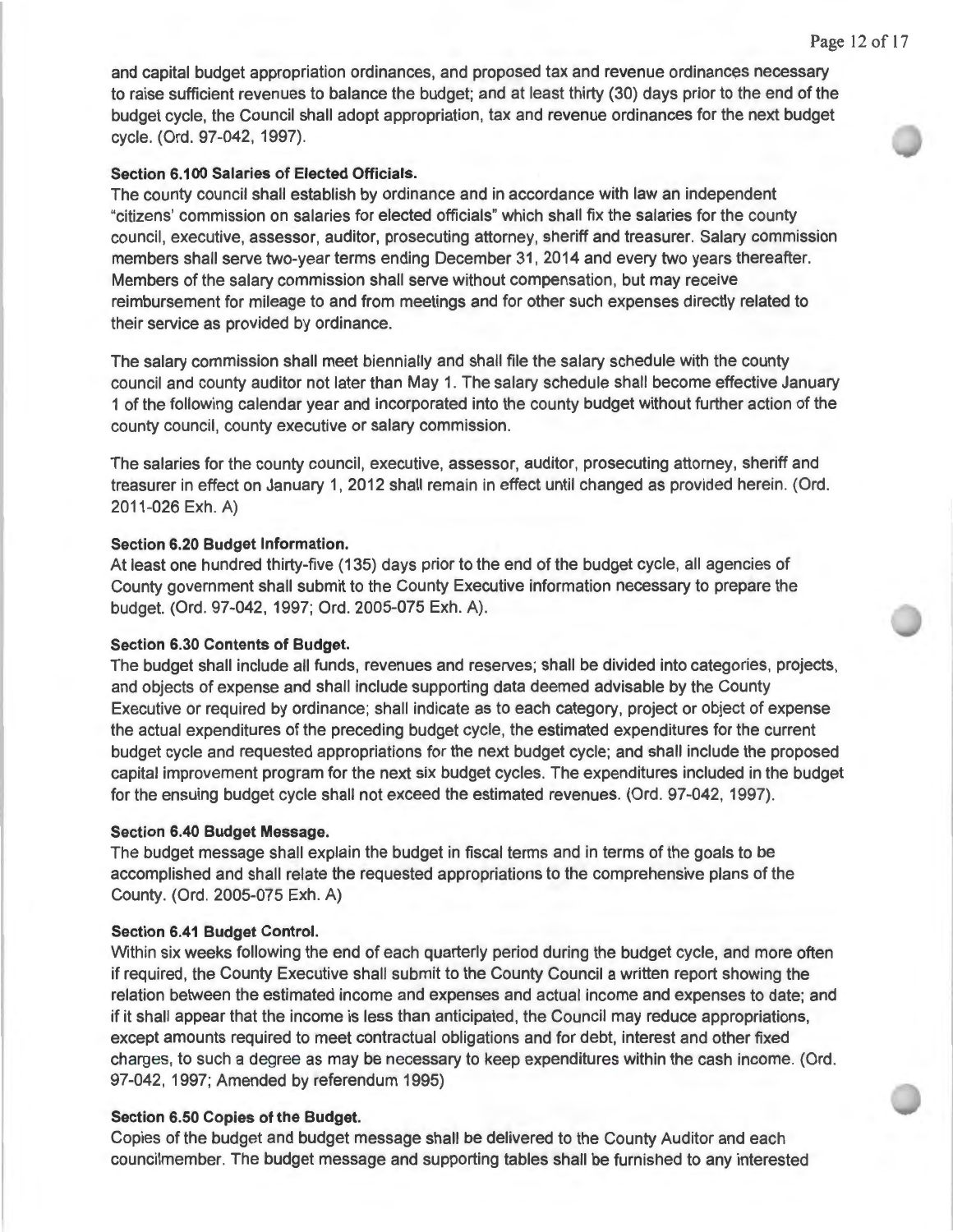and capital budget appropriation ordinances, and proposed tax and revenue ordinances necessary to raise sufficient revenues to balance the budget; and at least thirty (30) days prior to the end of the budget cycle, the Council shall adopt appropriation, tax and revenue ordinances for the next budget cycle. (Ord. 97-042, 1997).

#### **Section 6.100 Salaries of Elected Officials.**

The county council shall establish by ordinance and in accordance with law an independent "citizens' commission on salaries for elected officials" which shall fix the salaries for the county council, executive, assessor, auditor, prosecuting attorney, sheriff and treasurer. Salary commission members shall serve two-year terms ending December 31 , 2014 and every two years thereafter. Members of the salary commission shall serve without compensation, but may receive reimbursement for mileage to and from meetings and for other such expenses directly related to their service as provided by ordinance.

The salary commission shall meet biennially and shall file the salary schedule with the county council and county auditor not later than May 1. The salary schedule shall become effective January 1 of the following calendar year and incorporated into the county budget without further action of the county council, county executive or salary commission.

The salaries for the county council, executive, assessor, auditor, prosecuting attorney, sheriff and treasurer in effect on January 1, 2012 shall remain in effect until changed as provided herein. (Ord. 2011-026 Exh. A)

#### **Section 6.20 Budget Information.**

At least one hundred thirty-five (135) days prior to the end of the budget cycle, all agencies of County government shall submit to the County Executive information necessary to prepare the budget. (Ord. 97-042, 1997; Ord. 2005-075 Exh. A).

#### **Section 6.30 Contents of Budget.**

The budget shall include all funds , revenues and reserves; shall be divided into categories, projects, and objects of expense and shall include supporting data deemed advisable by the County Executive or required by ordinance; shall indicate as to each category, project or object of expense the actual expenditures of the preceding budget cycle, the estimated expenditures for the current budget cycle and requested appropriations for the next budget cycle; and shall include the proposed capital improvement program for the next six budget cycles. The expenditures included in the budget for the ensuing budget cycle shall not exceed the estimated revenues. (Ord. 97-042, 1997).

#### **Section 6.40 Budget Message.**

The budget message shall explain the budget in fiscal terms and in terms of the goals to be accomplished and shall relate the requested appropriations to the comprehensive plans of the County. (Ord. 2005-075 Exh. A)

#### **Section 6.41 Budget Control.**

Within six weeks following the end of each quarterly period during the budget cycle, and more often if required, the County Executive shall submit to the County Council a written report showing the relation between the estimated income and expenses and actual income and expenses to date; and if it shall appear that the income is less than anticipated, the Council may reduce appropriations, except amounts required to meet contractual obligations and for debt, interest and other fixed charges, to such a degree as may be necessary to keep expenditures within the cash income. (Ord. 97-042, 1997; Amended by referendum 1995)

#### **Section 6.50 Copies of the Budget.**

Copies of the budget and budget message shall be delivered to the County Auditor and each councilmember. The budget message and supporting tables shall be furnished to any interested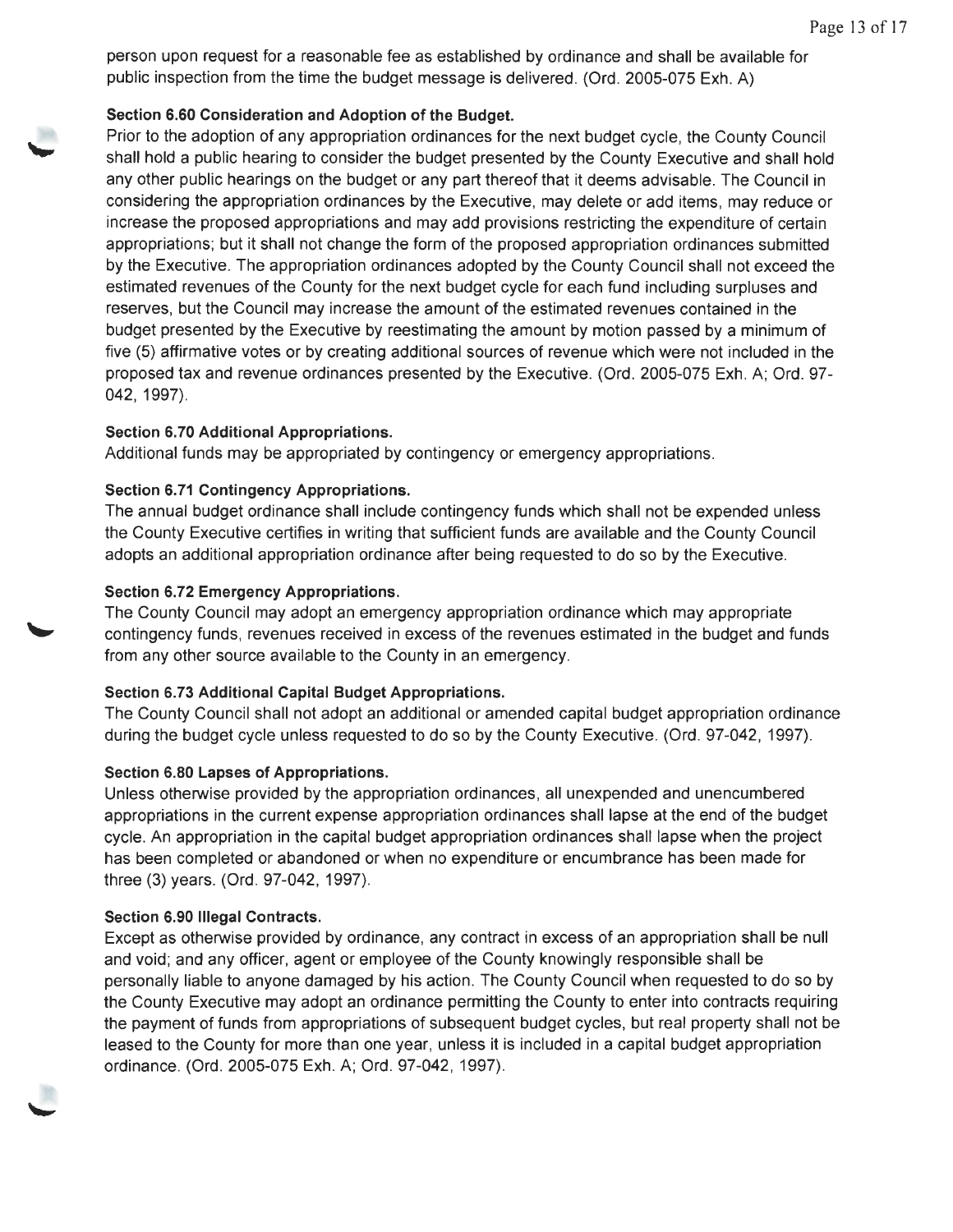person upon request for a reasonable fee as established by ordinance and shall be available for public inspection from the time the budget message is delivered. (Ord. 2005-075 Exh. A)

# **Section 6.60 Consideration and Adoption of the Budget.**

Prior to the adoption of any appropriation ordinances for the next budget cycle, the County Council shall hold a public hearing to consider the budget presented by the County Executive and shall hold any other public hearings on the budget or any part thereof that it deems advisable. The Council in considering the appropriation ordinances by the Executive, may delete or add items, may reduce or increase the proposed appropriations and may add provisions restricting the expenditure of certain appropriations; but it shall not change the form of the proposed appropriation ordinances submitted by the Executive. The appropriation ordinances adopted by the County Council shall not exceed the estimated revenues of the County for the next budget cycle for each fund including surpluses and reserves, but the Council may increase the amount of the estimated revenues contained in the budget presented by the Executive by reestimating the amount by motion passed by a minimum of five (5) affirmative votes or by creating additional sources of revenue which were not included in the proposed tax and revenue ordinances presented by the Executive. (Ord. 2005-075 Exh. A; Ord. 97- 042, 1997).

# **Section 6.70 Additional Appropriations.**

Additional funds may be appropriated by contingency or emergency appropriations.

# **Section 6.71 Contingency Appropriations.**

The annual budget ordinance shall include contingency funds which shall not be expended unless the County Executive certifies in writing that sufficient funds are available and the County Council adopts an additional appropriation ordinance after being requested to do so by the Executive.

# **Section 6.72 Emergency Appropriations.**

The County Council may adopt an emergency appropriation ordinance which may appropriate contingency funds, revenues received in excess of the revenues estimated in the budget and funds from any other source available to the County in an emergency.

# **Section 6.73 Additional Capital Budget Appropriations.**

The County Council shall not adopt an additional or amended capital budget appropriation ordinance during the budget cycle unless requested to do so by the County Executive. (Ord. 97-042, 1997).

# **Section 6.80 Lapses of Appropriations.**

Unless otherwise provided by the appropriation ordinances, all unexpended and unencumbered appropriations in the current expense appropriation ordinances shall lapse at the end of the budget cycle. An appropriation in the capital budget appropriation ordinances shall lapse when the project has been completed or abandoned or when no expenditure or encumbrance has been made for three (3) years. (Ord. 97-042, 1997).

# **Section 6.90 Illegal Contracts.**

Except as otherwise provided by ordinance, any contract in excess of an appropriation shall be null and void; and any officer, agent or employee of the County knowingly responsible shall be personally liable to anyone damaged by his action. The County Council when requested to do so by the County Executive may adopt an ordinance permitting the County to enter into contracts requiring the payment of funds from appropriations of subsequent budget cycles, but real property shall not be leased to the County for more than one year, unless it is included in a capital budget appropriation ordinance. (Ord . 2005-075 Exh. A; Ord. 97-042, 1997).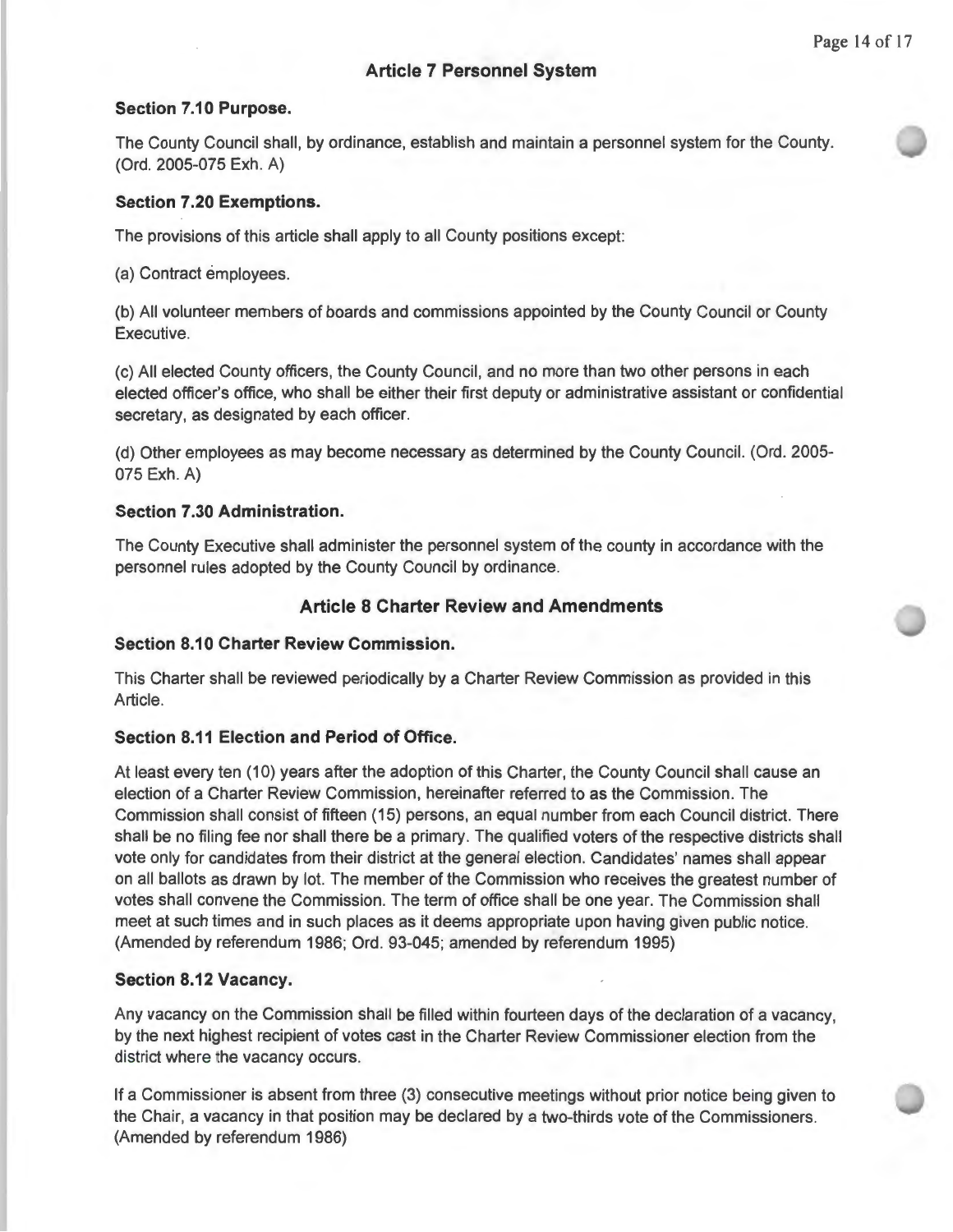# **Article 7 Personnel System**

#### **Section 7.10 Purpose.**

The County Council shall, by ordinance, establish and maintain a personnel system for the County. (Ord. 2005-075 Exh. A)

## **Section 7.20 Exemptions.**

The provisions of this article shall apply to all County positions except:

(a) Contract employees.

(b) All volunteer members of boards and commissions appointed by the County Council or County Executive.

(c) All elected County officers, the County Council, and no more than two other persons in each elected officer's office, who shall be either their first deputy or administrative assistant or confidential secretary, as designated by each officer.

(d) Other employees as may become necessary as determined by the County Council. (Ord. 2005- 075 Exh. A)

#### **Section 7.30 Administration.**

The County Executive shall administer the personnel system of the county in accordance with the personnel rules adopted by the County Council by ordinance.

#### **Article 8 Charter Review and Amendments**

# **Section 8.10 Charter Review Commission.**

This Charter shall be reviewed periodically by a Charter Review Commission as provided in this Article.

## **Section 8.11 Election and Period of Office.**

At least every ten (10) years after the adoption of this Charter, the County Council shall cause an election of a Charter Review Commission, hereinafter referred to as the Commission. The Commission shall consist of fifteen ( 15) persons, an equal number from each Council district. There shall be no filing fee nor shall there be a primary. The qualified voters of the respective districts shall vote only for candidates from their district at the general election. Candidates' names shall appear on all ballots as drawn by lot. The member of the Commission who receives the greatest number of votes shall convene the Commission. The term of office shall be one year. The Commission shall meet at such times and in such places as it deems appropriate upon having given public notice. (Amended by referendum 1986; Ord. 93-045; amended by referendum 1995)

## **Section 8.12 Vacancy.**

Any vacancy on the Commission shall be filled within fourteen days of the declaration of a vacancy, by the next highest recipient of votes cast in the Charter Review Commissioner election from the district where the vacancy occurs.

If a Commissioner is absent from three (3) consecutive meetings without prior notice being given to the Chair, a vacancy in that position may be declared by a two-thirds vote of the Commissioners. (Amended by referendum 1986)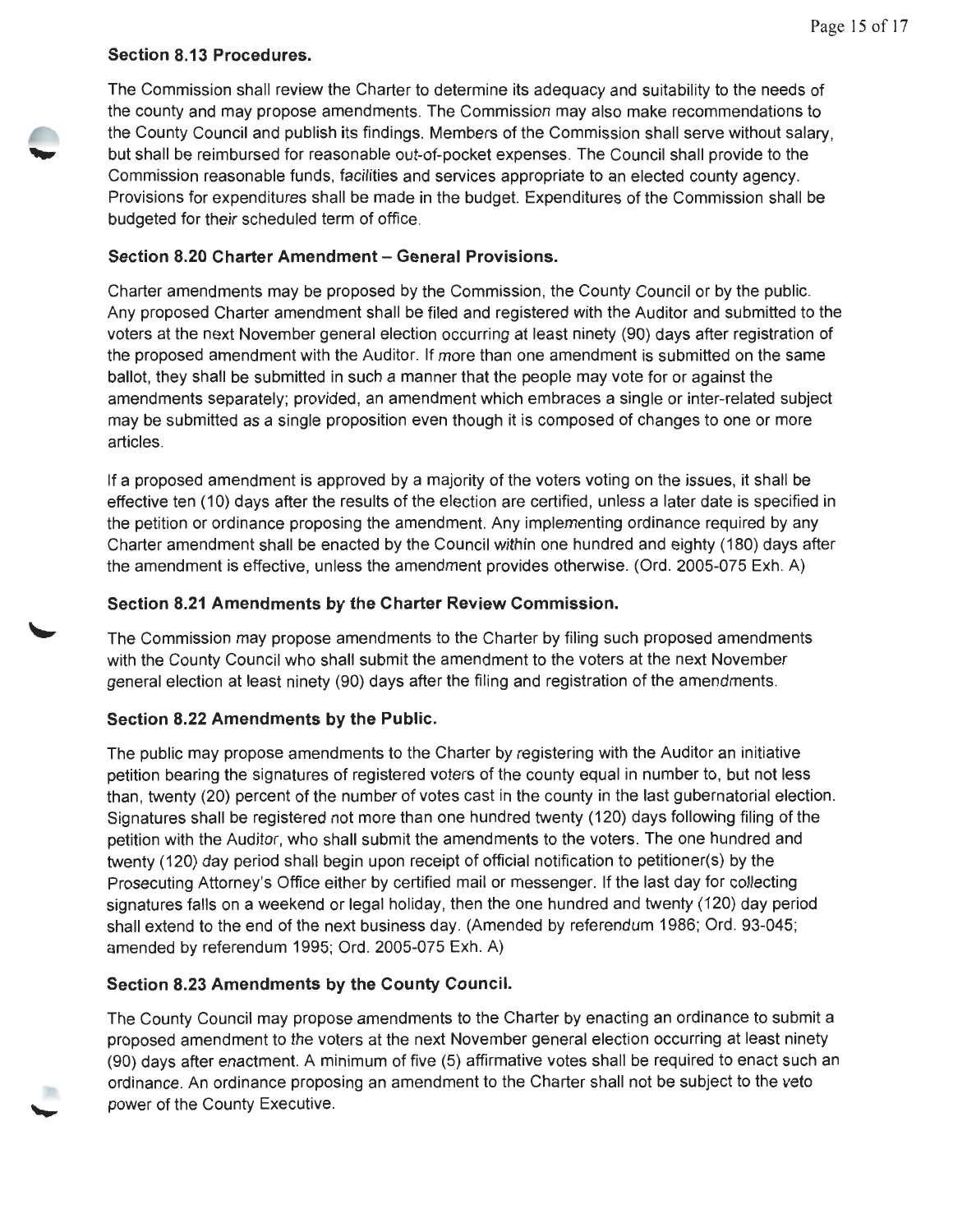# **Section 8.13 Procedures.**



The Commission shall review the Charter to determine its adequacy and suitability to the needs of the county and may propose amendments. The Commission may also make recommendations to the County Council and publish its findings. Members of the Commission shall serve without salary, but shall be reimbursed for reasonable out-of-pocket expenses. The Council shall provide to the Commission reasonable funds, facilities and services appropriate to an elected county agency. Provisions for expenditures shall be made in the budget. Expenditures of the Commission shall be budgeted for their scheduled term of office.

# **Section 8.20 Charter Amendment - General Provisions.**

Charter amendments may be proposed by the Commission, the County Council or by the public. Any proposed Charter amendment shall be filed and registered with the Auditor and submitted to the voters at the next November general election occurring at least ninety (90) days after registration of the proposed amendment with the Auditor. If more than one amendment is submitted on the same ballot, they shall be submitted in such a manner that the people may vote for or against the amendments separately; provided, an amendment which embraces a single or inter-related subject may be submitted as a single proposition even though it is composed of changes to one or more articles.

If a proposed amendment is approved by a majority of the voters voting on the issues, it shall be effective ten (10) days after the results of the election are certified, unless a later date is specified in the petition or ordinance proposing the amendment. Any implementing ordinance required by any Charter amendment shall be enacted by the Council within one hundred and eighty ( 180) days after the amendment is effective, unless the amendment provides otherwise. (Ord. 2005-075 Exh. A)

# **Section 8.21 Amendments by the Charter Review Commission.**

The Commission may propose amendments to the Charter by filing such proposed amendments with the County Council who shall submit the amendment to the voters at the next November general election at least ninety (90) days after the filing and registration of the amendments.

# **Section 8.22 Amendments by the Public.**

The public may propose amendments to the Charter by registering with the Auditor an initiative petition bearing the signatures of registered voters of the county equal in number to, but not less than, twenty (20) percent of the number of votes cast in the county in the last gubernatorial election. Signatures shall be registered not more than one hundred twenty (120) days following filing of the petition with the Auditor, who shall submit the amendments to the voters. The one hundred and twenty (120) day period shall begin upon receipt of official notification to petitioner(s) by the Prosecuting Attorney's Office either by certified mail or messenger. If the last day for collecting signatures falls on a weekend or legal holiday, then the one hundred and twenty (120) day period shall extend to the end of the next business day. (Amended by referendum 1986; Ord. 93-045; amended by referendum 1995; Ord. 2005-075 Exh. A)

# **Section 8.23 Amendments by the County Council.**

The County Council may propose amendments to the Charter by enacting an ordinance to submit a proposed amendment to the voters at the next November general election occurring at least ninety (90) days after enactment. A minimum of five (5) affirmative votes shall be required to enact such an ordinance. An ordinance proposing an amendment to the Charter shall not be subject to the veto power of the County Executive.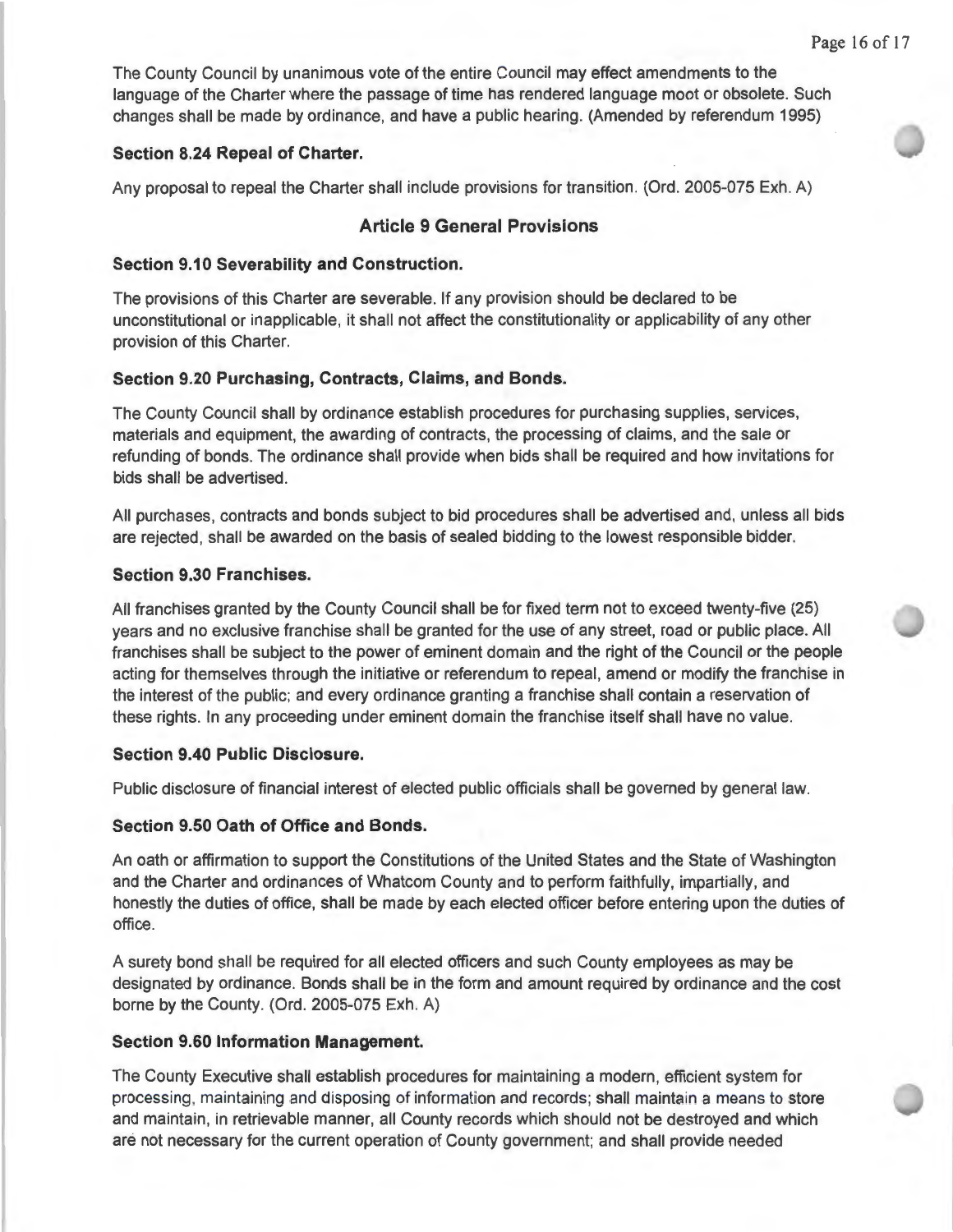The County Council by unanimous vote of the entire Council may effect amendments to the language of the Charter where the passage of time has rendered language moot or obsolete. Such changes shall be made by ordinance, and have a public hearing. (Amended by referendum 1995)

## **Section 8.24 Repeal of Charter.**

Any proposal to repeal the Charter shall include provisions for transition. (Ord. 2005-075 Exh. A)

# **Article 9 General Provisions**

## **Section 9.10 Severability and Construction.**

The provisions of this Charter are severable. If any provision should be declared to be unconstitutional or inapplicable, it shall not affect the constitutionality or applicability of any other provision of this Charter.

# **Section 9.20 Purchasing, Contracts, Claims, and Bonds.**

The County Council shall by ordinance establish procedures for purchasing supplies, services, materials and equipment, the awarding of contracts, the processing of claims, and the sale or refunding of bonds. The ordinance shall provide when bids shall be required and how invitations for bids shall be advertised.

All purchases, contracts and bonds subject to bid procedures shall be advertised and, unless all bids are rejected, shall be awarded on the basis of sealed bidding to the lowest responsible bidder.

# **Section 9.30 Franchises.**

All franchises granted by the County Council shall be for fixed term not to exceed twenty-five (25) years and no exclusive franchise shall be granted for the use of any street, road or public place. All franchises shall be subject to the power of eminent domain and the right of the Council or the people acting for themselves through the initiative or referendum to repeal, amend or modify the franchise in the interest of the public; and every ordinance granting a franchise shall contain a reservation of these rights. In any proceeding under eminent domain the franchise itself shall have no value.

# **Section 9.40 Public Disclosure.**

Public disclosure of financial interest of elected public officials shall be governed by general law.

## **Section 9.50 Oath of Office and Bonds.**

An oath or affirmation to support the Constitutions of the United States and the State of Washington and the Charter and ordinances of Whatcom County and to perform faithfully, impartially, and honestly the duties of office, shall be made by each elected officer before entering upon the duties of office.

A surety bond shall be required for all elected officers and such County employees as may be designated by ordinance. Bonds shall be in the form and amount required by ordinance and the cost borne by the County. (Ord. 2005-075 Exh. A)

# **Section 9.60 Information Management.**

The County Executive shall establish procedures for maintaining a modern, efficient system for processing, maintaining and disposing of information and records; shall maintain a means to store and maintain, in retrievable manner, all County records which should not be destroyed and which are not necessary for the current operation of County government; and shall provide needed